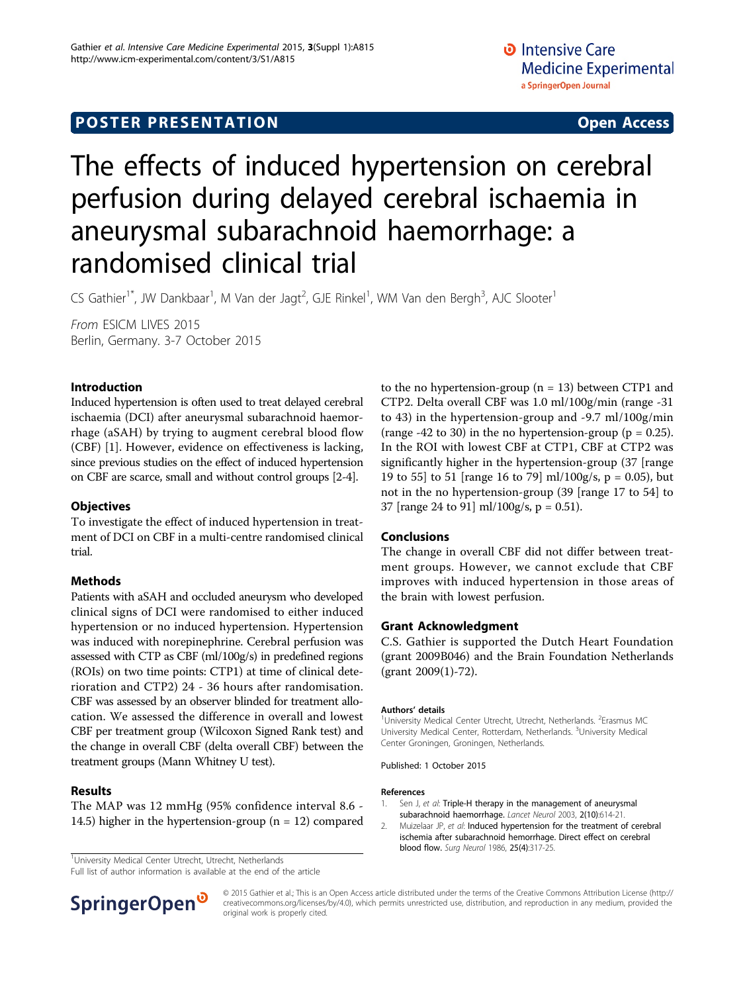# The effects of induced hypertension on cerebral perfusion during delayed cerebral ischaemia in aneurysmal subarachnoid haemorrhage: a randomised clinical trial

CS Gathier<sup>1\*</sup>, JW Dankbaar<sup>1</sup>, M Van der Jagt<sup>2</sup>, GJE Rinkel<sup>1</sup>, WM Van den Bergh<sup>3</sup>, AJC Slooter<sup>1</sup>

From ESICM LIVES 2015 Berlin, Germany. 3-7 October 2015

## Introduction

Induced hypertension is often used to treat delayed cerebral ischaemia (DCI) after aneurysmal subarachnoid haemorrhage (aSAH) by trying to augment cerebral blood flow (CBF) [1]. However, evidence on effectiveness is lacking, since previous studies on the effect of induced hypertension on CBF are scarce, small and without control groups [2[-4](#page-1-0)].

## **Objectives**

To investigate the effect of induced hypertension in treatment of DCI on CBF in a multi-centre randomised clinical trial.

## Methods

Patients with aSAH and occluded aneurysm who developed clinical signs of DCI were randomised to either induced hypertension or no induced hypertension. Hypertension was induced with norepinephrine. Cerebral perfusion was assessed with CTP as CBF (ml/100g/s) in predefined regions (ROIs) on two time points: CTP1) at time of clinical deterioration and CTP2) 24 - 36 hours after randomisation. CBF was assessed by an observer blinded for treatment allocation. We assessed the difference in overall and lowest CBF per treatment group (Wilcoxon Signed Rank test) and the change in overall CBF (delta overall CBF) between the treatment groups (Mann Whitney U test).

#### Results

The MAP was 12 mmHg (95% confidence interval 8.6 - 14.5) higher in the hypertension-group ( $n = 12$ ) compared

<sup>1</sup>University Medical Center Utrecht, Utrecht, Netherlands

Full list of author information is available at the end of the article

to the no hypertension-group ( $n = 13$ ) between CTP1 and CTP2. Delta overall CBF was 1.0 ml/100g/min (range -31 to 43) in the hypertension-group and -9.7 ml/100g/min (range  $-42$  to 30) in the no hypertension-group ( $p = 0.25$ ). In the ROI with lowest CBF at CTP1, CBF at CTP2 was significantly higher in the hypertension-group (37 [range 19 to 55] to 51 [range 16 to 79] ml/100g/s,  $p = 0.05$ ], but not in the no hypertension-group (39 [range 17 to 54] to 37 [range 24 to 91] ml/100g/s, p = 0.51).

#### Conclusions

The change in overall CBF did not differ between treatment groups. However, we cannot exclude that CBF improves with induced hypertension in those areas of the brain with lowest perfusion.

#### Grant Acknowledgment

C.S. Gathier is supported the Dutch Heart Foundation (grant 2009B046) and the Brain Foundation Netherlands (grant 2009(1)-72).

#### Authors' details <sup>1</sup>

University Medical Center Utrecht, Utrecht, Netherlands. <sup>2</sup>Erasmus MC University Medical Center, Rotterdam, Netherlands. <sup>3</sup>University Medical Center Groningen, Groningen, Netherlands.

Published: 1 October 2015

#### References

- Sen J, et al: [Triple-H therapy in the management of aneurysmal](http://www.ncbi.nlm.nih.gov/pubmed/14505583?dopt=Abstract) [subarachnoid haemorrhage.](http://www.ncbi.nlm.nih.gov/pubmed/14505583?dopt=Abstract) Lancet Neurol 2003, 2(10):614-21.
- 2. Muizelaar JP, et al: [Induced hypertension for the treatment of cerebral](http://www.ncbi.nlm.nih.gov/pubmed/3952624?dopt=Abstract) [ischemia after subarachnoid hemorrhage. Direct effect on cerebral](http://www.ncbi.nlm.nih.gov/pubmed/3952624?dopt=Abstract) [blood flow.](http://www.ncbi.nlm.nih.gov/pubmed/3952624?dopt=Abstract) Surg Neurol 1986, 25(4):317-25.



© 2015 Gathier et al.; This is an Open Access article distributed under the terms of the Creative Commons Attribution License [\(http://](http://creativecommons.org/licenses/by/4.0) [creativecommons.org/licenses/by/4.0](http://creativecommons.org/licenses/by/4.0)), which permits unrestricted use, distribution, and reproduction in any medium, provided the original work is properly cited.